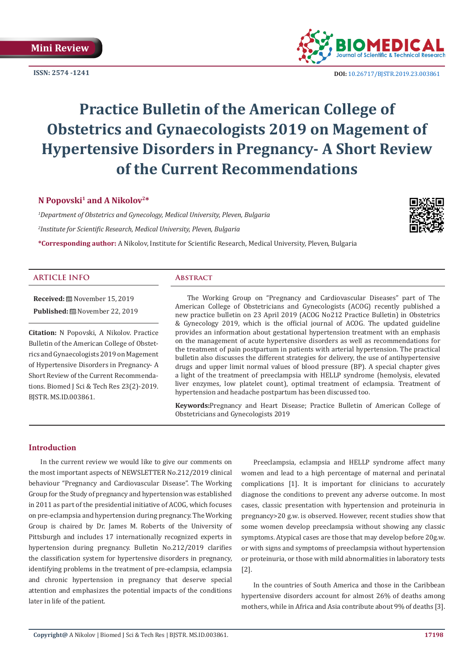**ISSN: 2574 -1241**



 **DOI:** [10.26717/BJSTR.2019.23.003](http://dx.doi.org/10.26717/BJSTR.2019.23.003861)861

## **Practice Bulletin of the American College of Obstetrics and Gynaecologists 2019 on Magement of Hypertensive Disorders in Pregnancy- A Short Review of the Current Recommendations**

#### **N Popovski1 and A Nikolov2\***

*1 Department of Obstetrics and Gynecology, Medical University, Pleven, Bulgaria 2 Institute for Scientific Research, Medical University, Pleven, Bulgaria*

**\*Corresponding author:** A Nikolov, Institute for Scientific Research, Medical University, Pleven, Bulgaria

#### **ARTICLE INFO Abstract**

**Received:** November 15, 2019 **Published:** November 22, 2019

**Citation:** N Popovski, A Nikolov. Practice Bulletin of the American College of Obstetrics and Gynaecologists 2019 on Magement of Hypertensive Disorders in Pregnancy- A Short Review of the Current Recommendations. Biomed J Sci & Tech Res 23(2)-2019. BJSTR. MS.ID.003861.

The Working Group on "Pregnancy and Cardiovascular Diseases" part of The American College of Obstetricians and Gynecologists (ACOG) recently published a new practice bulletin on 23 April 2019 (ACOG No212 Practice Bulletin) in Obstetrics & Gynecology 2019, which is the official journal of ACOG. The updated guideline provides an information about gestational hypertension treatment with an emphasis on the management of acute hypertensive disorders as well as recommendations for the treatment of pain postpartum in patients with arterial hypertension. The practical bulletin also discusses the different strategies for delivery, the use of antihypertensive drugs and upper limit normal values of blood pressure (BP). A special chapter gives a light of the treatment of preeclampsia with HELLP syndrome (hemolysis, elevated liver enzymes, low platelet count), optimal treatment of eclampsia. Treatment of hypertension and headache postpartum has been discussed too.

**Keywords:**Pregnancy and Heart Disease; Practice Bulletin of American College of Obstetricians and Gynecologists 2019

#### **Introduction**

In the current review we would like to give our comments on the most important aspects of NEWSLETTER No.212/2019 clinical behaviour "Pregnancy and Cardiovascular Disease". The Working Group for the Study of pregnancy and hypertension was established in 2011 as part of the presidential initiative of ACOG, which focuses on pre-eclampsia and hypertension during pregnancy. The Working Group is chaired by Dr. James M. Roberts of the University of Pittsburgh and includes 17 internationally recognized experts in hypertension during pregnancy. Bulletin No.212/2019 clarifies the classification system for hypertensive disorders in pregnancy, identifying problems in the treatment of pre-eclampsia, eclampsia and chronic hypertension in pregnancy that deserve special attention and emphasizes the potential impacts of the conditions later in life of the patient.

Preeclampsia, eclampsia and HELLP syndrome affect many women and lead to a high percentage of maternal and perinatal complications [1]. It is important for clinicians to accurately diagnose the conditions to prevent any adverse outcome. In most cases, classic presentation with hypertension and proteinuria in pregnancy>20 g.w. is observed. However, recent studies show that some women develop preeclampsia without showing any classic symptoms. Atypical cases are those that may develop before 20g.w. or with signs and symptoms of preeclampsia without hypertension or proteinuria, or those with mild abnormalities in laboratory tests [2].

In the countries of South America and those in the Caribbean hypertensive disorders account for almost 26% of deaths among mothers, while in Africa and Asia contribute about 9% of deaths [3].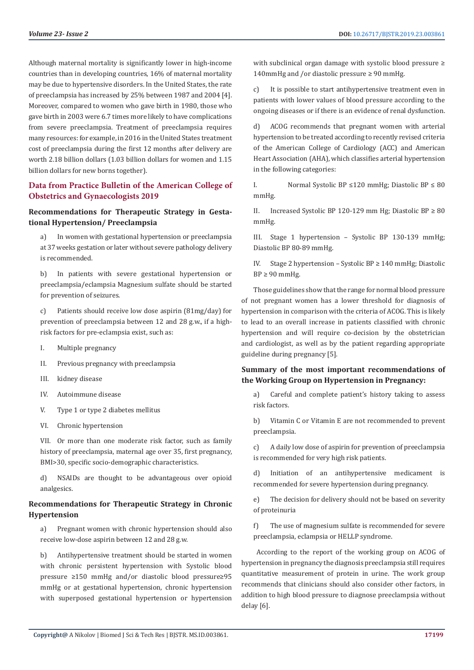Although maternal mortality is significantly lower in high-income countries than in developing countries, 16% of maternal mortality may be due to hypertensive disorders. In the United States, the rate of preeclampsia has increased by 25% between 1987 and 2004 [4]. Moreover, compared to women who gave birth in 1980, those who gave birth in 2003 were 6.7 times more likely to have complications from severe preeclampsia. Treatment of preeclampsia requires many resources: for example, in 2016 in the United States treatment cost of preeclampsia during the first 12 months after delivery are worth 2.18 billion dollars (1.03 billion dollars for women and 1.15 billion dollars for new borns together).

#### **Data from Practice Bulletin of the American College of Obstetrics and Gynaecologists 2019**

#### **Recommendations for Therapeutic Strategy in Gestational Hypertension/ Preeclampsia**

a) In women with gestational hypertension or preeclampsia at 37 weeks gestation or later without severe pathology delivery is recommended.

b) In patients with severe gestational hypertension or preeclampsia/eclampsia Magnesium sulfate should be started for prevention of seizures.

c) Patients should receive low dose aspirin (81mg/day) for prevention of preeclampsia between 12 and 28 g.w., if a highrisk factors for pre-eclampsia exist, such as:

- I. Multiple pregnancy
- II. Previous pregnancy with preeclampsia
- III. kidney disease
- IV. Autoimmune disease
- V. Type 1 or type 2 diabetes mellitus
- VI. Chronic hypertension

VII. Or more than one moderate risk factor, such as family history of preeclampsia, maternal age over 35, first pregnancy, BMI>30, specific socio-demographic characteristics.

d) NSAIDs are thought to be advantageous over opioid analgesics.

#### **Recommendations for Therapeutic Strategy in Chronic Hypertension**

a) Pregnant women with chronic hypertension should also receive low-dose aspirin between 12 and 28 g.w.

b) Antihypertensive treatment should be started in women with chronic persistent hypertension with Systolic blood pressure ≥150 mmHg and/or diastolic blood pressure≥95 mmHg or at gestational hypertension, chronic hypertension with superposed gestational hypertension or hypertension with subclinical organ damage with systolic blood pressure ≥ 140mmHg and /or diastolic pressure ≥ 90 mmHg.

c) It is possible to start antihypertensive treatment even in patients with lower values of blood pressure according to the ongoing diseases or if there is an evidence of renal dysfunction.

d) ACOG recommends that pregnant women with arterial hypertension to be treated according to recently revised criteria of the American College of Cardiology (ACC) and American Heart Association (AHA), which classifies arterial hypertension in the following categories:

I. Normal Systolic BP ≤120 mmHg; Diastolic BP ≤ 80 mmHg.

II. Increased Systolic BP 120-129 mm Hg; Diastolic BP  $\geq 80$ mmHg.

III. Stage 1 hypertension – Systolic BP 130-139 mmHg; Diastolic BP 80-89 mmHg.

IV. Stage 2 hypertension – Systolic BP  $\geq 140$  mmHg; Diastolic  $BP \geq 90$  mmHg.

Those guidelines show that the range for normal blood pressure of not pregnant women has a lower threshold for diagnosis of hypertension in comparison with the criteria of ACOG. This is likely to lead to an overall increase in patients classified with chronic hypertension and will require co-decision by the obstetrician and cardiologist, as well as by the patient regarding appropriate guideline during pregnancy [5].

### **Summary of the most important recommendations of the Working Group on Hypertension in Pregnancy:**

a) Careful and complete patient's history taking to assess risk factors.

b) Vitamin C or Vitamin E are not recommended to prevent preeclampsia.

c) A daily low dose of aspirin for prevention of preeclampsia is recommended for very high risk patients.

d) Initiation of an antihypertensive medicament is recommended for severe hypertension during pregnancy.

e) The decision for delivery should not be based on severity of proteinuria

f) The use of magnesium sulfate is recommended for severe preeclampsia, eclampsia or HELLP syndrome.

 According to the report of the working group on ACOG of hypertension in pregnancy the diagnosis preeclampsia still requires quantitative measurement of protein in urine. The work group recommends that clinicians should also consider other factors, in addition to high blood pressure to diagnose preeclampsia without delay [6].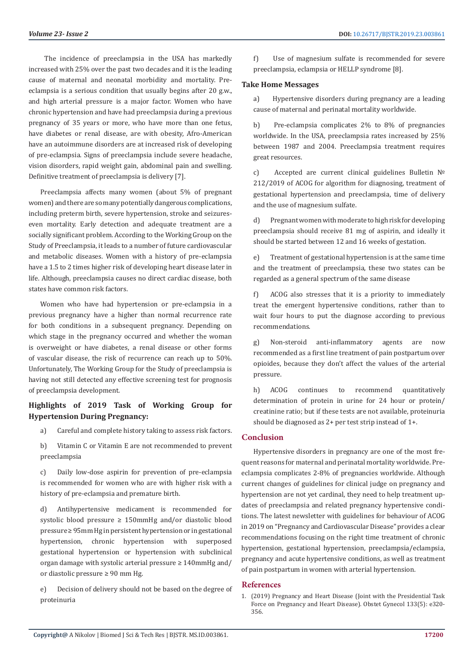The incidence of preeclampsia in the USA has markedly increased with 25% over the past two decades and it is the leading cause of maternal and neonatal morbidity and mortality. Preeclampsia is a serious condition that usually begins after 20 g.w., and high arterial pressure is a major factor. Women who have chronic hypertension and have had preeclampsia during a previous pregnancy of 35 years or more, who have more than one fetus, have diabetes or renal disease, are with obesity, Afro-American have an autoimmune disorders are at increased risk of developing of pre-eclampsia. Signs of preeclampsia include severe headache, vision disorders, rapid weight gain, abdominal pain and swelling. Definitive treatment of preeclampsia is delivery [7].

Preeclampsia affects many women (about 5% of pregnant women) and there are so many potentially dangerous complications, including preterm birth, severe hypertension, stroke and seizureseven mortality. Early detection and adequate treatment are a socially significant problem. According to the Working Group on the Study of Preeclampsia, it leads to a number of future cardiovascular and metabolic diseases. Women with a history of pre-eclampsia have a 1.5 to 2 times higher risk of developing heart disease later in life. Although, preeclampsia causes no direct cardiac disease, both states have common risk factors.

Women who have had hypertension or pre-eclampsia in a previous pregnancy have a higher than normal recurrence rate for both conditions in a subsequent pregnancy. Depending on which stage in the pregnancy occurred and whether the woman is overweight or have diabetes, a renal disease or other forms of vascular disease, the risk of recurrence can reach up to 50%. Unfortunately, The Working Group for the Study of preeclampsia is having not still detected any effective screening test for prognosis of preeclampsia development.

#### **Highlights of 2019 Task of Working Group for Hypertension During Pregnancy:**

a) Careful and complete history taking to assess risk factors.

b) Vitamin C or Vitamin E are not recommended to prevent preeclampsia

c) Daily low-dose aspirin for prevention of pre-eclampsia is recommended for women who are with higher risk with a history of pre-eclampsia and premature birth.

d) Antihypertensive medicament is recommended for systolic blood pressure ≥ 150mmHg and/or diastolic blood pressure ≥ 95mm Hg in persistent hypertension or in gestational hypertension, chronic hypertension with superposed gestational hypertension or hypertension with subclinical organ damage with systolic arterial pressure ≥ 140mmHg and/ or diastolic pressure ≥ 90 mm Hg.

e) Decision of delivery should not be based on the degree of proteinuria

f) Use of magnesium sulfate is recommended for severe preeclampsia, eclampsia or HELLP syndrome [8].

#### **Take Home Messages**

a) Hypertensive disorders during pregnancy are a leading cause of maternal and perinatal mortality worldwide.

b) Pre-eclampsia complicates 2% to 8% of pregnancies worldwide. In the USA, preeclampsia rates increased by 25% between 1987 and 2004. Preeclampsia treatment requires great resources.

c) Accepted are current clinical guidelines Bulletin № 212/2019 of ACOG for algorithm for diagnosing, treatment of gestational hypertension and preeclampsia, time of delivery and the use of magnesium sulfate.

d) Pregnant women with moderate to high risk for developing preeclampsia should receive 81 mg of aspirin, and ideally it should be started between 12 and 16 weeks of gestation.

e) Treatment of gestational hypertension is at the same time and the treatment of preeclampsia, these two states can be regarded as a general spectrum of the same disease

f) ACOG also stresses that it is a priority to immediately treat the emergent hypertensive conditions, rather than to wait four hours to put the diagnose according to previous recommendations.

g) Non-steroid anti-inflammatory agents are now recommended as a first line treatment of pain postpartum over opioides, because they don't affect the values of the arterial pressure.

h) ACOG continues to recommend quantitatively determination of protein in urine for 24 hour or protein/ creatinine ratio; but if these tests are not available, proteinuria should be diagnosed as 2+ per test strip instead of 1+.

#### **Conclusion**

Hypertensive disorders in pregnancy are one of the most frequent reasons for maternal and perinatal mortality worldwide. Preeclampsia complicates 2-8% of pregnancies worldwide. Although current changes of guidelines for clinical judge on pregnancy and hypertension are not yet cardinal, they need to help treatment updates of preeclampsia and related pregnancy hypertensive conditions. The latest newsletter with guidelines for behaviour of ACOG in 2019 on "Pregnancy and Cardiovascular Disease" provides a clear recommendations focusing on the right time treatment of chronic hypertension, gestational hypertension, preeclampsia/eclampsia, pregnancy and acute hypertensive conditions, as well as treatment of pain postpartum in women with arterial hypertension.

#### **References**

1. [\(2019\) Pregnancy and Heart Disease \(Joint with the Presidential Task](https://www.ncbi.nlm.nih.gov/pubmed/31022123) [Force on Pregnancy and Heart Disease\). Obstet Gynecol 133\(5\): e320-](https://www.ncbi.nlm.nih.gov/pubmed/31022123) [356.](https://www.ncbi.nlm.nih.gov/pubmed/31022123)